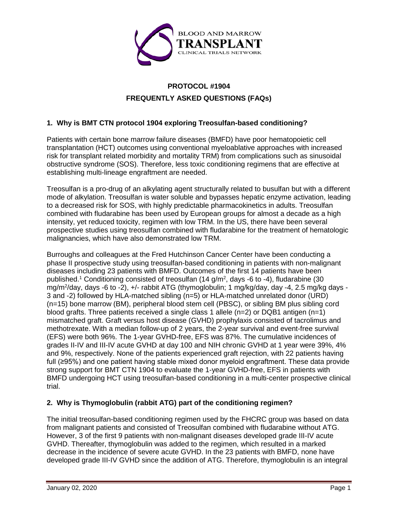

# **PROTOCOL #1904 FREQUENTLY ASKED QUESTIONS (FAQs)**

# **1. Why is BMT CTN protocol 1904 exploring Treosulfan-based conditioning?**

Patients with certain bone marrow failure diseases (BMFD) have poor hematopoietic cell transplantation (HCT) outcomes using conventional myeloablative approaches with increased risk for transplant related morbidity and mortality TRM) from complications such as sinusoidal obstructive syndrome (SOS). Therefore, less toxic conditioning regimens that are effective at establishing multi-lineage engraftment are needed.

Treosulfan is a pro-drug of an alkylating agent structurally related to busulfan but with a different mode of alkylation. Treosulfan is water soluble and bypasses hepatic enzyme activation, leading to a decreased risk for SOS, with highly predictable pharmacokinetics in adults. Treosulfan combined with fludarabine has been used by European groups for almost a decade as a high intensity, yet reduced toxicity, regimen with low TRM. In the US, there have been several prospective studies using treosulfan combined with fludarabine for the treatment of hematologic malignancies, which have also demonstrated low TRM.

Burroughs and colleagues at the Fred Hutchinson Cancer Center have been conducting a phase II prospective study using treosulfan-based conditioning in patients with non-malignant diseases including 23 patients with BMFD. Outcomes of the first 14 patients have been published.<sup>1</sup> Conditioning consisted of treosulfan (14 g/m<sup>2</sup>, days -6 to -4), fludarabine (30 mg/m<sup>2</sup>/day, days -6 to -2), +/- rabbit ATG (thymoglobulin; 1 mg/kg/day, day -4, 2.5 mg/kg days -3 and -2) followed by HLA-matched sibling (n=5) or HLA-matched unrelated donor (URD) (n=15) bone marrow (BM), peripheral blood stem cell (PBSC), or sibling BM plus sibling cord blood grafts. Three patients received a single class 1 allele  $(n=2)$  or DQB1 antigen  $(n=1)$ mismatched graft. Graft versus host disease (GVHD) prophylaxis consisted of tacrolimus and methotrexate. With a median follow-up of 2 years, the 2-year survival and event-free survival (EFS) were both 96%. The 1-year GVHD-free, EFS was 87%. The cumulative incidences of grades II-IV and III-IV acute GVHD at day 100 and NIH chronic GVHD at 1 year were 39%, 4% and 9%, respectively. None of the patients experienced graft rejection, with 22 patients having full (≥95%) and one patient having stable mixed donor myeloid engraftment. These data provide strong support for BMT CTN 1904 to evaluate the 1-year GVHD-free, EFS in patients with BMFD undergoing HCT using treosulfan-based conditioning in a multi-center prospective clinical trial.

# **2. Why is Thymoglobulin (rabbit ATG) part of the conditioning regimen?**

The initial treosulfan-based conditioning regimen used by the FHCRC group was based on data from malignant patients and consisted of Treosulfan combined with fludarabine without ATG. However, 3 of the first 9 patients with non-malignant diseases developed grade III-IV acute GVHD. Thereafter, thymoglobulin was added to the regimen, which resulted in a marked decrease in the incidence of severe acute GVHD. In the 23 patients with BMFD, none have developed grade III-IV GVHD since the addition of ATG. Therefore, thymoglobulin is an integral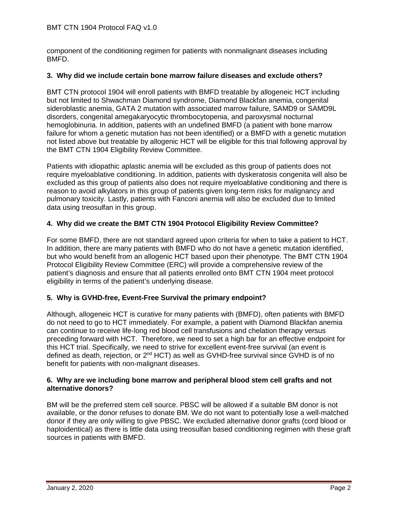component of the conditioning regimen for patients with nonmalignant diseases including BMFD.

#### **3. Why did we include certain bone marrow failure diseases and exclude others?**

BMT CTN protocol 1904 will enroll patients with BMFD treatable by allogeneic HCT including but not limited to Shwachman Diamond syndrome, Diamond Blackfan anemia, congenital sideroblastic anemia, GATA 2 mutation with associated marrow failure, SAMD9 or SAMD9L disorders, congenital amegakaryocytic thrombocytopenia, and paroxysmal nocturnal hemoglobinuria. In addition, patients with an undefined BMFD (a patient with bone marrow failure for whom a genetic mutation has not been identified) or a BMFD with a genetic mutation not listed above but treatable by allogenic HCT will be eligible for this trial following approval by the BMT CTN 1904 Eligibility Review Committee.

Patients with idiopathic aplastic anemia will be excluded as this group of patients does not require myeloablative conditioning. In addition, patients with dyskeratosis congenita will also be excluded as this group of patients also does not require myeloablative conditioning and there is reason to avoid alkylators in this group of patients given long-term risks for malignancy and pulmonary toxicity. Lastly, patients with Fanconi anemia will also be excluded due to limited data using treosulfan in this group.

# **4. Why did we create the BMT CTN 1904 Protocol Eligibility Review Committee?**

For some BMFD, there are not standard agreed upon criteria for when to take a patient to HCT. In addition, there are many patients with BMFD who do not have a genetic mutation identified, but who would benefit from an allogenic HCT based upon their phenotype. The BMT CTN 1904 Protocol Eligibility Review Committee (ERC) will provide a comprehensive review of the patient's diagnosis and ensure that all patients enrolled onto BMT CTN 1904 meet protocol eligibility in terms of the patient's underlying disease.

# **5. Why is GVHD-free, Event-Free Survival the primary endpoint?**

Although, allogeneic HCT is curative for many patients with (BMFD), often patients with BMFD do not need to go to HCT immediately. For example, a patient with Diamond Blackfan anemia can continue to receive life-long red blood cell transfusions and chelation therapy versus preceding forward with HCT. Therefore, we need to set a high bar for an effective endpoint for this HCT trial. Specifically, we need to strive for excellent event-free survival (an event is defined as death, rejection, or 2nd HCT) as well as GVHD-free survival since GVHD is of no benefit for patients with non-malignant diseases.

#### **6. Why are we including bone marrow and peripheral blood stem cell grafts and not alternative donors?**

BM will be the preferred stem cell source. PBSC will be allowed if a suitable BM donor is not available, or the donor refuses to donate BM. We do not want to potentially lose a well-matched donor if they are only willing to give PBSC. We excluded alternative donor grafts (cord blood or haploidentical) as there is little data using treosulfan based conditioning regimen with these graft sources in patients with BMFD.